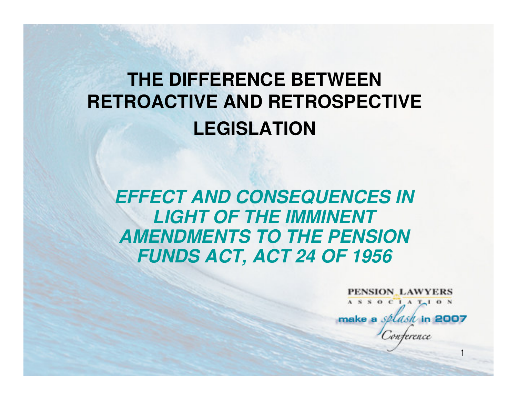# **THE DIFFERENCE BETWEEN RETROACTIVE AND RETROSPECTIVE LEGISLATION**

**EFFECT AND CONSEQUENCES IN LIGHT OF THE IMMINENT AMENDMENTS TO THE PENSION FUNDS ACT, ACT 24 OF 1956**

> PENSION LAWYERS  $A S S 0 C 1 A T<sub>0</sub> 0 N$ make a *splash* in 2007 nterence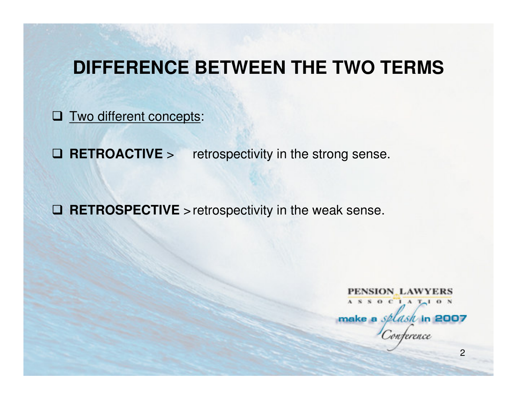#### **DIFFERENCE BETWEEN THE TWO TERMS**

**O** Two different concepts:

 $\Box$  RETROACTIVE > retrospectivity in the strong sense.

**RETROSPECTIVE** >retrospectivity in the weak sense.

PENSION LAWYERS ASSOCIATION make a *splask* in 2007 n jerence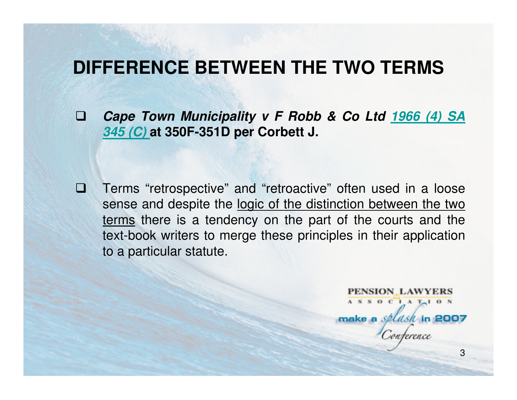#### **DIFFERENCE BETWEEN THE TWO TERMS**

 $\Box$ 

 $\Box$  **Cape Town Municipality v F Robb & Co Ltd 1966 (4) SA 345 (C) at 350F-351D per Corbett J.** 

 Terms "retrospective" and "retroactive" often used in a loose sense and despite the logic of the distinction between the two terms there is a tendency on the part of the courts and the text-book writers to merge these principles in their application to a particular statute.

PENSION LAWYERS  $A S S 0 C 1 A T<sub>1</sub> 0 N$ make a *splash* in 2007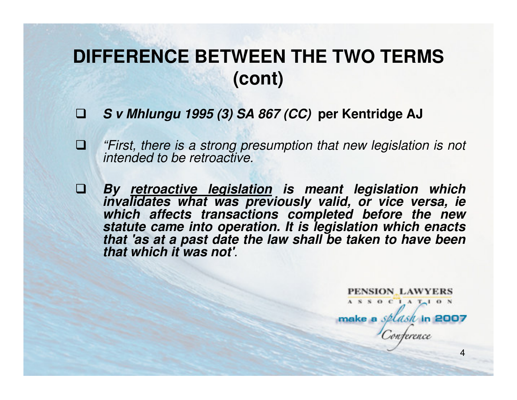# **DIFFERENCE BETWEEN THE TWO TERMS (cont)**

- $\Box$ **S v Mhlungu 1995 (3) SA 867 (CC) per Kentridge AJ**
- $\Box$  "First, there is a strong presumption that new legislation is not intended to be retroactive.
- $\Box$  **By retroactive legislation is meant legislation which invalidates what was previously valid, or vice versa, ie which affects transactions completed before the new statute came into operation. It is legislation which enacts that 'as at a past date the law shall be taken to have been that which it was not'**.

PENSION LAWYERS ASSOCIATION make a *splash* in 2007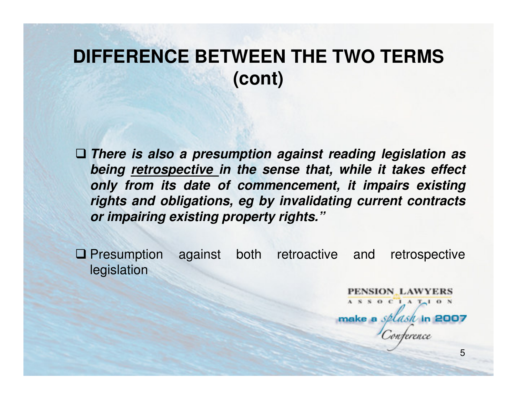# **DIFFERENCE BETWEEN THE TWO TERMS (cont)**

 **There is also a presumption against reading legislation as being retrospective in the sense that, while it takes effect only from its date of commencement, it impairs existing rights and obligations, eg by invalidating current contracts or impairing existing property rights."**

**Q** Presumption against both retroactive and retrospective logislation legislation

> PENSION LAWYERS ASSOCIATION make a *splash* in 2007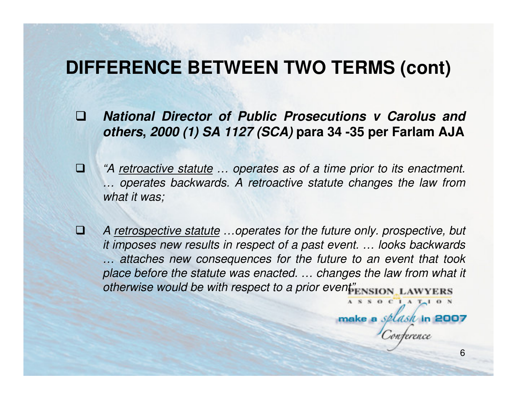## **DIFFERENCE BETWEEN TWO TERMS (cont)**

- $\Box$  **National Director of Public Prosecutions v Carolus and others, 2000 (1) SA 1127 (SCA) para 34 -35 per Farlam AJA**
- $\Box$  "A retroactive statute … operates as of a time prior to its enactment. … operates backwards. A retroactive statute changes the law from what it was;
- $\mathbf{\Omega}$  A retrospective statute …operates for the future only. prospective, but it imposes new results in respect of a past event. … looks backwards … attaches new consequences for the future to an event that took place before the statute was enacted. … changes the law from what it otherwise would be with respect to a prior event<sup>"</sup>ENSION\_LAWYERS ASSOCIATION

6

make a *splash* in 2007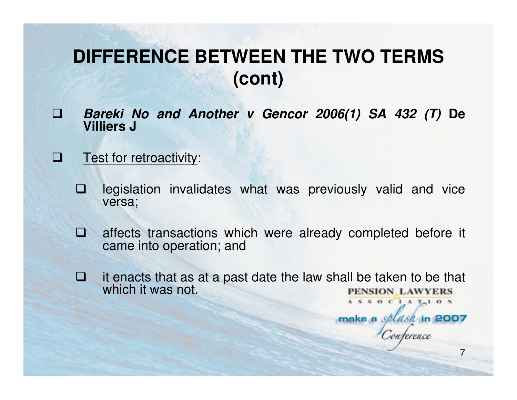# **DIFFERENCE BETWEEN THE TWO TERMS (cont)**

- $\Box$  **Bareki No and Another v Gencor 2006(1) SA 432 (T) De Villiers J**
- $\Box$ Test for retroactivity:
	- $\Box$  legislation invalidates what was previously valid and vice versa;
	- **NO**  affects transactions which were already completed before it came into operation; and
	- $\Box$  it enacts that as at a past date the law shall be taken to be that which it was not.

7

ASSOCIATION

make a splash in 2007

onterence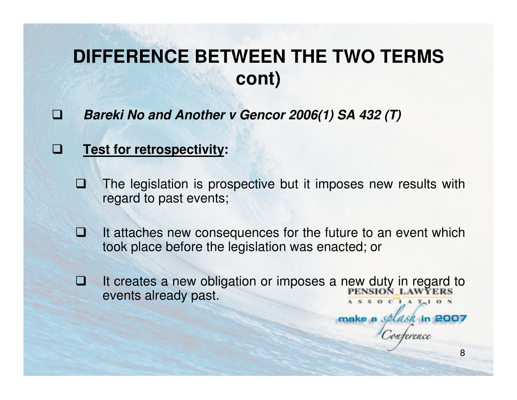# **DIFFERENCE BETWEEN THE TWO TERMS cont)**

 $\Box$ **Bareki No and Another v Gencor 2006(1) SA 432 (T)**

#### u **Test for retrospectivity:**

- Œ The legislation is prospective but it imposes new results with regard to past events;
- **M**  It attaches new consequences for the future to an event which took place before the legislation was enacted; or
- It creates a new obligation or imposes a new duty in regard to<br>PENSION LAWYERS  $\Box$ events already past. $S$  O C  $I$  A  $T-1$  O N

8

make a *splash* in 2007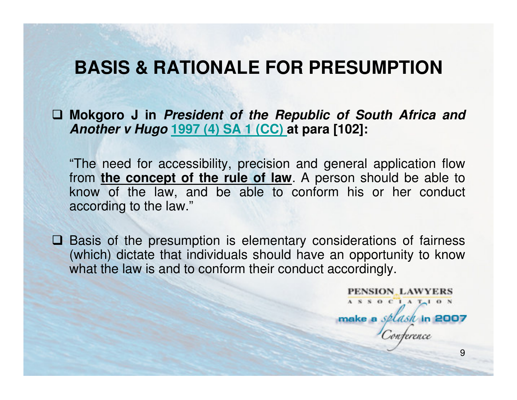## **BASIS & RATIONALE FOR PRESUMPTION**

 **Mokgoro J in President of the Republic of South Africa and Another v Hugo 1997 (4) SA 1 (CC) at para [102]:**

"The need for accessibility, precision and general application flow from **the concept of the rule of law**. A person should be able to know of the law, and be able to conform his or her conduct according to the law."

 $\Box$  Basis of the presumption is elementary considerations of fairness (which) dictate that individuals should have an opportunity to know (which) dictate that individuals should have an opportunity to know what the law is and to conform their conduct accordingly.

> PENSION LAWYERS ASSOCIAT<sub>10</sub>N make a *splash* in 2007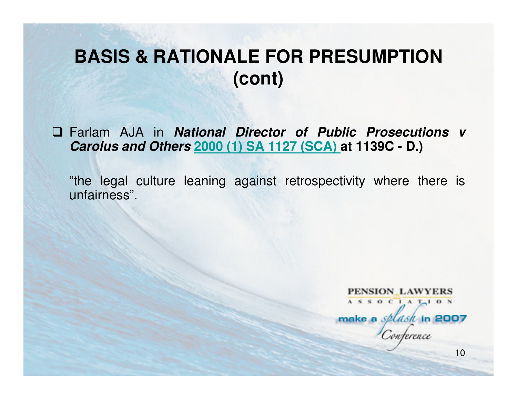## **BASIS & RATIONALE FOR PRESUMPTION (cont)**

 Farlam AJA in **National Director of Public Prosecutions v Carolus and Others 2000 (1) SA 1127 (SCA) at 1139C - D.)**

"the legal culture leaning against retrospectivity where there is unfairness".

**PENSION LAWYERS** ASSOCIATION make a *splash* in 2007 reterence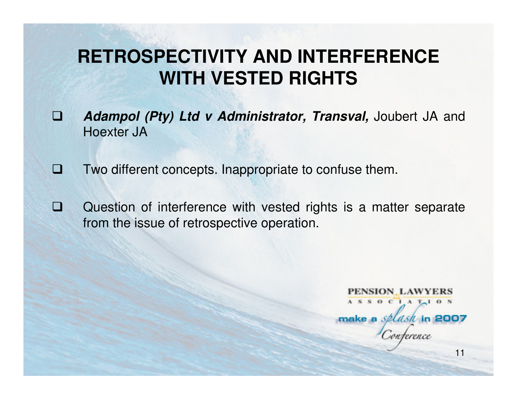# **RETROSPECTIVITY AND INTERFERENCE WITH VESTED RIGHTS**

- $\Box$  **Adampol (Pty) Ltd v Administrator, Transval,** Joubert JA and Hoexter JA
- $\Box$ Two different concepts. Inappropriate to confuse them.
- Q) Question of interference with vested rights is a matter separate from the issue of retrospective operation.

PENSION LAWYERS  $A S S 0 C 1 A T<sub>1</sub> 0 N$ make a *splash* in 2007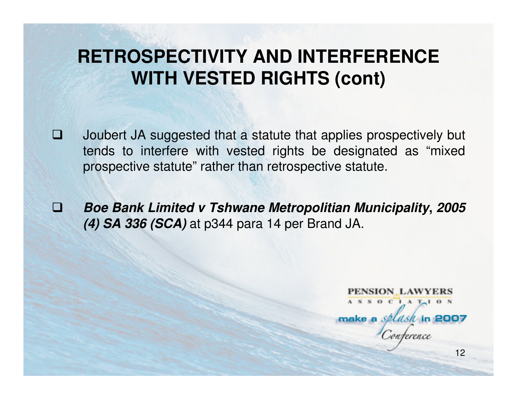# **RETROSPECTIVITY AND INTERFERENCE WITH VESTED RIGHTS (cont)**

- o Joubert JA suggested that a statute that applies prospectively but tends to interfere with vested rights be designated as "mixed prospective statute" rather than retrospective statute.
- **ISBN Boe Bank Limited v Tshwane Metropolitian Municipality, <sup>2005</sup> (4) SA 336 (SCA)** at p344 para 14 per Brand JA.

PENSION LAWYERS  $A S S 0 C 1 A T<sub>1</sub> 0 N$ make a *splash* in 2007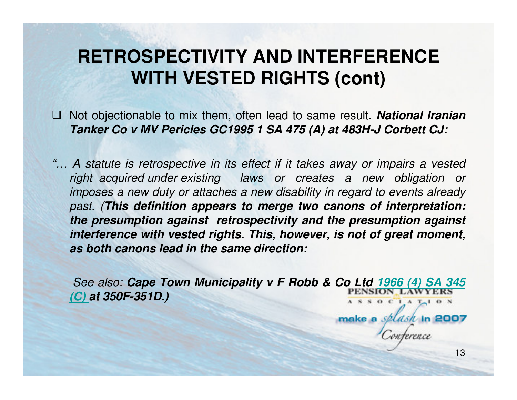# **RETROSPECTIVITY AND INTERFERENCE WITH VESTED RIGHTS (cont)**

- □ Not objectionable to mix them, often lead to same result. **National Iranian ITANATE CONTINUE OF CONTINUE CONTINUE OF THE CONTINUE OF THE TANATE CALL CONTINUE OF THE TANATE CALL CONTINUE OF THE TANATE CALL CONTINUES Tanker Co v MV Pericles GC1995 1 SA 475 (A) at 483H-J Corbett CJ:**
- "… A statute is retrospective in its effect if it takes away or impairs a vested right acquired under existing laws or creates a new obligation or imposes a new duty or attaches a new disability in regard to events already past. (**This definition appears to merge two canons of interpretation: the presumption against retrospectivity and the presumption against interference with vested rights. This, however, is not of great moment, as both canons lead in the same direction:**

See also: **Cape Town Municipality v F Robb & Co Ltd 1966 (4) SA 345 (C) at 350F-351D.)** $S$  O C  $I$  A  $T-1$  O N

13

make a *splash* in 2007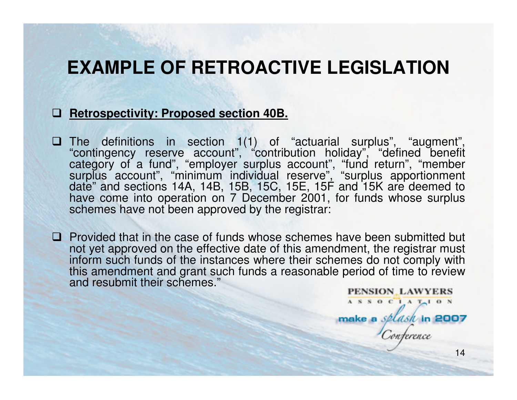### **EXAMPLE OF RETROACTIVE LEGISLATION**

## **Retrospectivity: Proposed section 40B.**

- The definitions in section 1(1) of "actuarial surplus", "augment", "contingency reserve account", "contribution holiday", "defined benefit category of a fund", "employer surplus account", "fund return", "member<br>surplus account", "minimum individual reserve", "surplus apportionment<br>date" and sections 14A, 14B, 15B, 15C, 15E, 15F and 15K are deemed to<br>have come schemes have not been approved by the registrar:
- $\Box$  Provided that in the case of funds whose schemes have been submitted but not vet approved on the effective date of this amendment, the registrar must not yet approved on the effective date of this amendment, the registrar must inform such funds of the instances where their schemes do not comply with this amendment and grant such funds a reasonable period of time to review and resubmit their schemes."PENSION LAWYERS

14

 $A S S O C A T<sub>1</sub> O N$ 

make a *splash* in 2007

onterence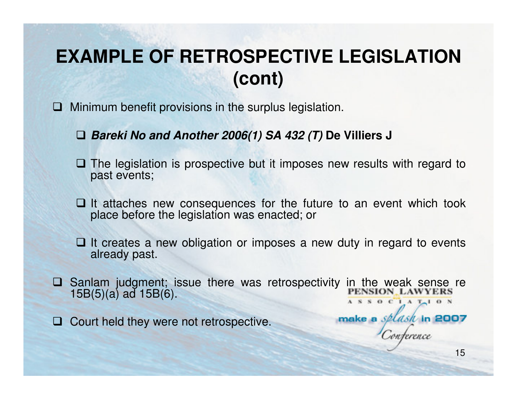# **EXAMPLE OF RETROSPECTIVE LEGISLATION (cont)**

- $\Box$  Minimum benefit provisions in the surplus legislation.
	- **Bareki No and Another 2006(1) SA 432 (T) De Villiers J**
	- **□ The legislation is prospective but it imposes new results with regard to past events:** past events;
	- $\Box$  It attaches new consequences for the future to an event which took place before the legislation was enacted: or place before the legislation was enacted; or
	- **□** It creates a new obligation or imposes a new duty in regard to events already past. already past.
- Sanlam judgment; issue there was retrospectivity in the weak sense re<br>15B(5)(3) ad 15B(6)  $\Box$ 15B(5)(a) ad 15B(6). $A S S 0 C 1 A T<sub>1</sub> 0 N$
- $\Box$ Court held they were not retrospective.

make a *splash* in 2007

nterence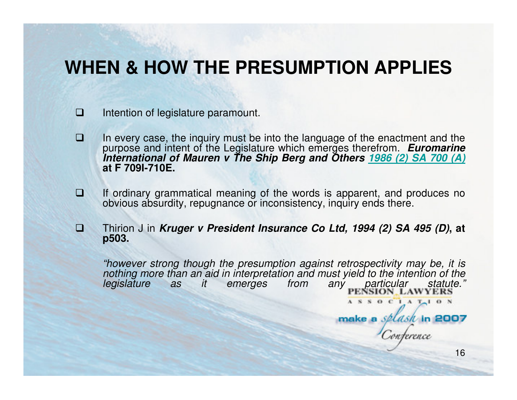## **WHEN & HOW THE PRESUMPTION APPLIES**

- $\Box$ Intention of legislature paramount.
- $\Box$  In every case, the inquiry must be into the language of the enactment and the purpose and intent of the Legislature which emerges therefrom. **Euromarine International of Mauren v The Ship Berg and Others 1986 (2) SA 700 (A)at F 709I-710E.**
- $\Box$  If ordinary grammatical meaning of the words is apparent, and produces no obvious absurdity, repugnance or inconsistency, inquiry ends there.
- $\Box$  Thirion J in **Kruger v President Insurance Co Ltd, 1994 (2) SA 495 (D), at p503.**

"however strong though the presumption against retrospectivity may be, it is nothing more than an aid in interpretation and must yield to the intention of the particular ASSOCIATION

16

make a *splash* in 2007

nterence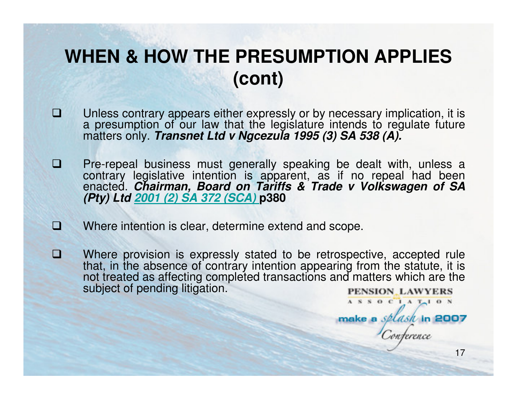# **WHEN & HOW THE PRESUMPTION APPLIES (cont)**

- $\Box$ □ Unless contrary appears either expressly or by necessary implication, it is<br>a presumption of our law that the legislature intends to regulate future<br>matters only. *Transnet Ltd v Ngcezula 1995 (3) SA 538 (A).*
- $\Box$ □ Pre-repeal business must generally speaking be dealt with, unless a contrary legislative intention is apparent, as if no repeal had been enacted. *Chairman, Board on Tariffs & Trade v Volkswagen of SA* (*Pty*) Ltd <u>2001</u>
- $\Box$ Where intention is clear, determine extend and scope.
- O Where provision is expressly stated to be retrospective, accepted rule that, in the absence of contrary intention appearing from the statute, it is not treated as affecting completed transactions and matters which are the subject of pending litigation.PENSION\_LAWYERS

17

ASSOCIATION

make a *splask* in 2007

nterence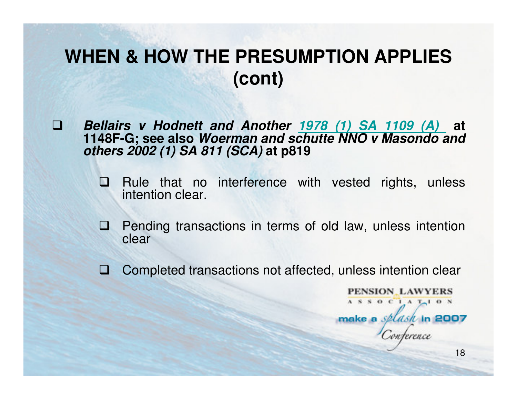# **WHEN & HOW THE PRESUMPTION APPLIES (cont)**

 $\Box$  **Bellairs v Hodnett and Another 1978 (1) SA 1109 (A) at 1148F-G; see also Woerman and schutte NNO v Masondo and others 2002 (1) SA 811 (SCA) at p819**

- $\blacksquare$  Rule that no interference with vested rights, unless intention clear.
- **Q** Pending transactions in terms of old law, unless intention clear clear
- $\Box$ Completed transactions not affected, unless intention clear

PENSION LAWYERS ASSOCIATION make a *splash* in 2007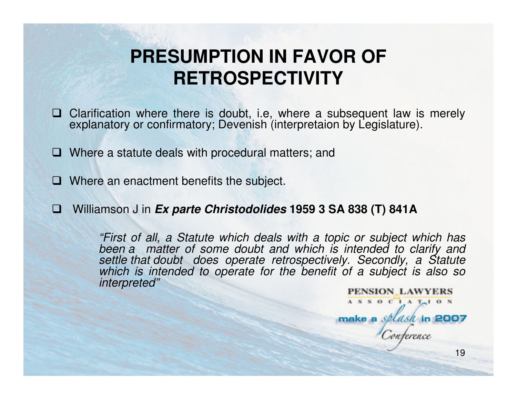# **PRESUMPTION IN FAVOR OF RETROSPECTIVITY**

- $\Box$  Clarification where there is doubt, i.e, where a subsequent law is merely explanatory or confirmatory: Devenish (interpretaion by Legislature). explanatory or confirmatory; Devenish (interpretaion by Legislature).
- **□** Where a statute deals with procedural matters; and
- □ Where an enactment benefits the subject.
- ١e Williamson J in **Ex parte Christodolides 1959 3 SA 838 (T) 841A**

"First of all, a Statute which deals with a topic or subject which has been a matter of some doubt and which is intended to clarify and settle that doubt does operate retrospectively. Secondly, a Statute which is intended to operate for the benefit of a subject is also so interpreted"

PENSION LAWYERS  $A S S O C A T<sub>1</sub> O N$ make a *splash* in 2007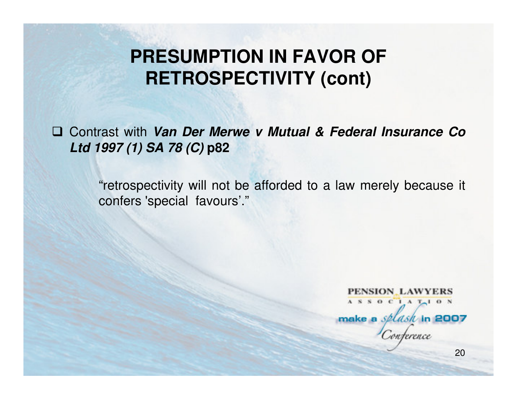# **PRESUMPTION IN FAVOR OF RETROSPECTIVITY (cont)**

 Contrast with **Van Der Merwe v Mutual & Federal Insurance Co Ltd 1997 (1) SA 78 (C) p82**

> "retrospectivity will not be afforded to a law merely because it confers 'special favours'."

PENSION LAWYERS ASSOCIATION make a *splash* in 2007 nterence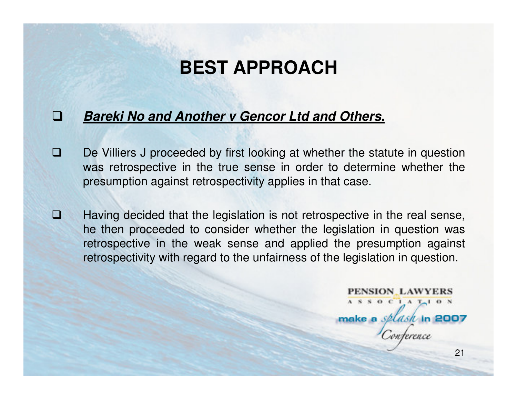## **BEST APPROACH**

#### Ð **Bareki No and Another v Gencor Ltd and Others.**

- $\Box$  De Villiers J proceeded by first looking at whether the statute in question was retrospective in the true sense in order to determine whether the presumption against retrospectivity applies in that case.
- $\Box$  Having decided that the legislation is not retrospective in the real sense, he then proceeded to consider whether the legislation in question was retrospective in the weak sense and applied the presumption against retrospectivity with regard to the unfairness of the legislation in question.

PENSION LAWYERS ASSOCIATION make a *splash* in 2007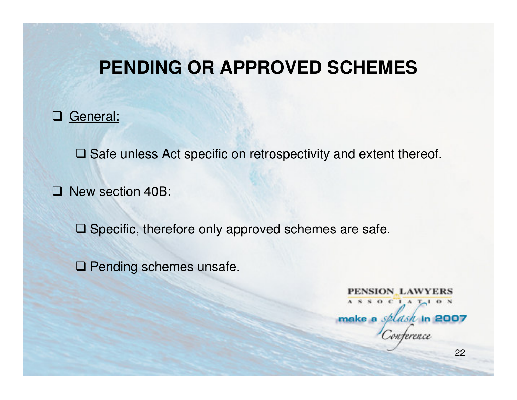## **PENDING OR APPROVED SCHEMES**

# □ General:

**□ Safe unless Act specific on retrospectivity and extent thereof.** 

# □ <u>New section 40B</u>:

 $\square$  Specific, therefore only approved schemes are safe.

**□ Pending schemes unsafe.** 

PENSION LAWYERS ASSOCIATION make a *splash* in 2007 nterence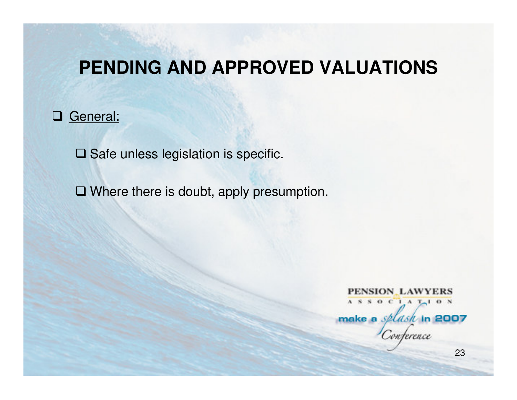## **PENDING AND APPROVED VALUATIONS**

# □ General:

 $\square$  Safe unless legislation is specific.

**□ Where there is doubt, apply presumption.** 

PENSION LAWYERS ASSOCIATION make a *splash* in 2007 onterence